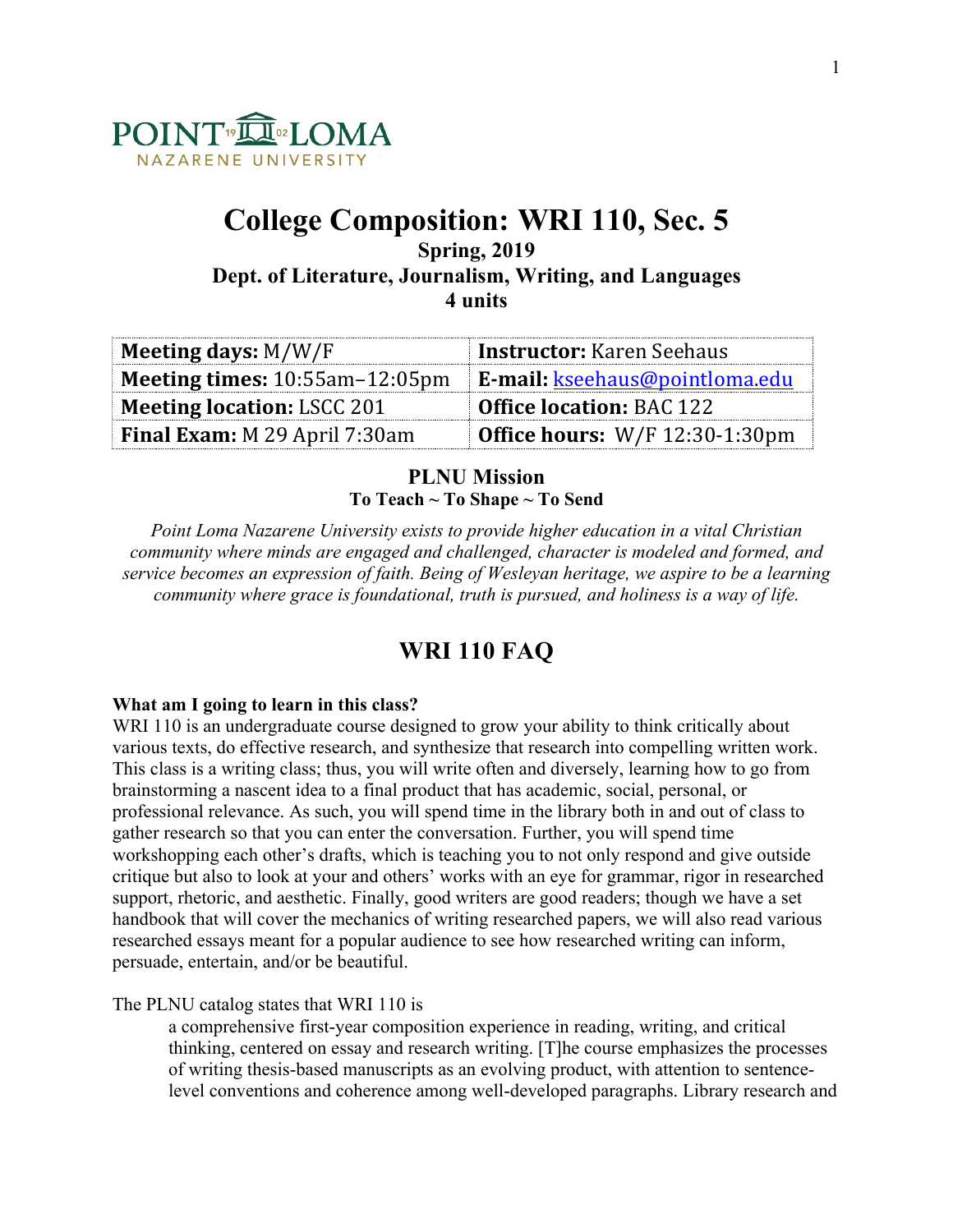

# **College Composition: WRI 110, Sec. 5**

**Spring, 2019 Dept. of Literature, Journalism, Writing, and Languages 4 units**

| Meeting days: $M/W/F$                   | <b>Instructor:</b> Karen Seehaus                |
|-----------------------------------------|-------------------------------------------------|
| <b>Meeting times:</b> $10:55am-12:05pm$ | <b>E-mail:</b> kseehaus@pointloma.edu           |
| <b>Meeting location: LSCC 201</b>       | <b>Office location: BAC 122</b>                 |
| Final Exam: M 29 April 7:30am           | <b>Office hours:</b> $W/F 12:30-1:30 \text{pm}$ |

## **PLNU Mission To Teach ~ To Shape ~ To Send**

*Point Loma Nazarene University exists to provide higher education in a vital Christian community where minds are engaged and challenged, character is modeled and formed, and service becomes an expression of faith. Being of Wesleyan heritage, we aspire to be a learning community where grace is foundational, truth is pursued, and holiness is a way of life.*

# **WRI 110 FAQ**

## **What am I going to learn in this class?**

WRI 110 is an undergraduate course designed to grow your ability to think critically about various texts, do effective research, and synthesize that research into compelling written work. This class is a writing class; thus, you will write often and diversely, learning how to go from brainstorming a nascent idea to a final product that has academic, social, personal, or professional relevance. As such, you will spend time in the library both in and out of class to gather research so that you can enter the conversation. Further, you will spend time workshopping each other's drafts, which is teaching you to not only respond and give outside critique but also to look at your and others' works with an eye for grammar, rigor in researched support, rhetoric, and aesthetic. Finally, good writers are good readers; though we have a set handbook that will cover the mechanics of writing researched papers, we will also read various researched essays meant for a popular audience to see how researched writing can inform, persuade, entertain, and/or be beautiful.

## The PLNU catalog states that WRI 110 is

a comprehensive first-year composition experience in reading, writing, and critical thinking, centered on essay and research writing. [T]he course emphasizes the processes of writing thesis-based manuscripts as an evolving product, with attention to sentencelevel conventions and coherence among well-developed paragraphs. Library research and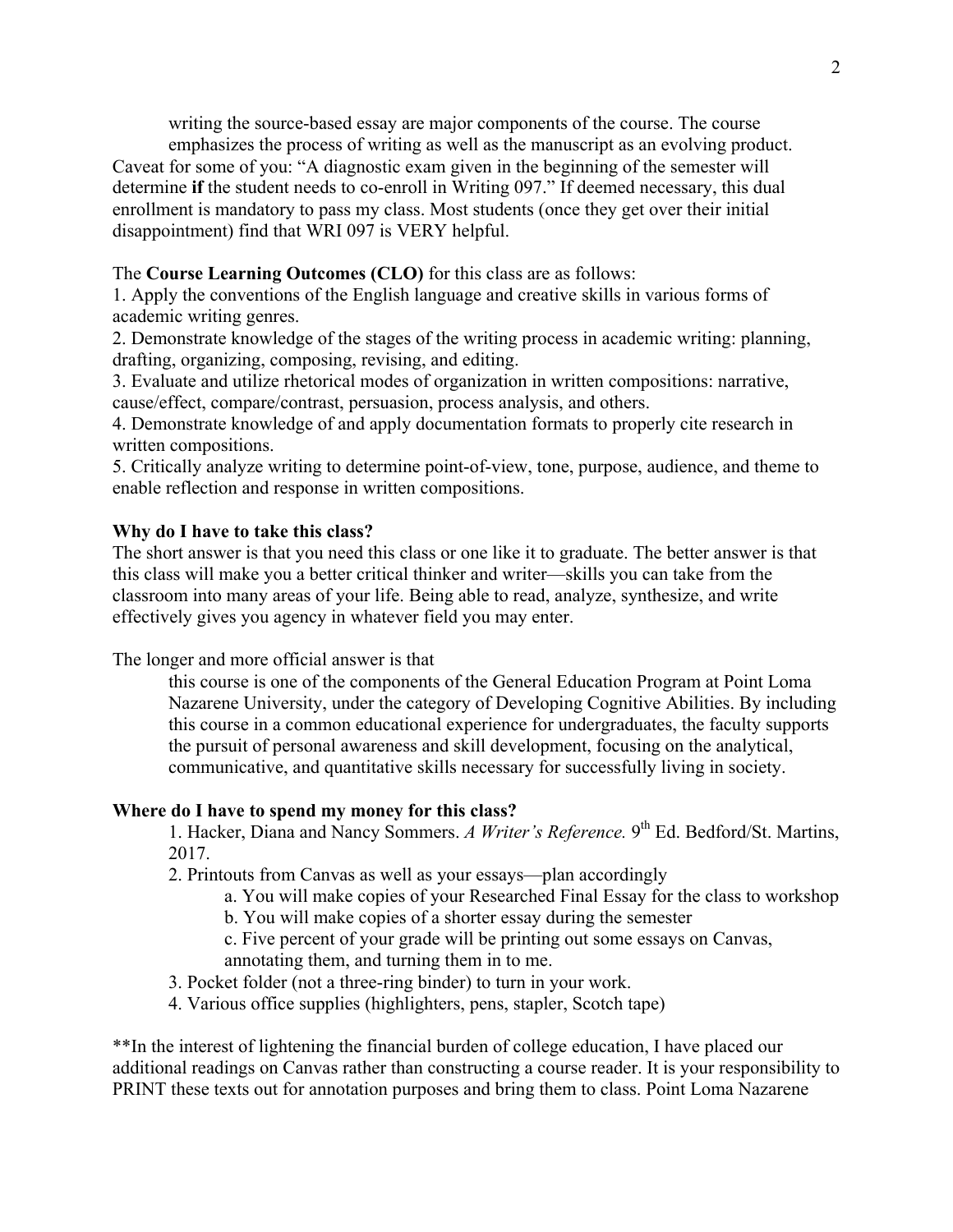writing the source-based essay are major components of the course. The course emphasizes the process of writing as well as the manuscript as an evolving product.

Caveat for some of you: "A diagnostic exam given in the beginning of the semester will determine **if** the student needs to co-enroll in Writing 097." If deemed necessary, this dual enrollment is mandatory to pass my class. Most students (once they get over their initial disappointment) find that WRI 097 is VERY helpful.

## The **Course Learning Outcomes (CLO)** for this class are as follows:

1. Apply the conventions of the English language and creative skills in various forms of academic writing genres.

2. Demonstrate knowledge of the stages of the writing process in academic writing: planning, drafting, organizing, composing, revising, and editing.

3. Evaluate and utilize rhetorical modes of organization in written compositions: narrative, cause/effect, compare/contrast, persuasion, process analysis, and others.

4. Demonstrate knowledge of and apply documentation formats to properly cite research in written compositions.

5. Critically analyze writing to determine point-of-view, tone, purpose, audience, and theme to enable reflection and response in written compositions.

#### **Why do I have to take this class?**

The short answer is that you need this class or one like it to graduate. The better answer is that this class will make you a better critical thinker and writer—skills you can take from the classroom into many areas of your life. Being able to read, analyze, synthesize, and write effectively gives you agency in whatever field you may enter.

The longer and more official answer is that

this course is one of the components of the General Education Program at Point Loma Nazarene University, under the category of Developing Cognitive Abilities. By including this course in a common educational experience for undergraduates, the faculty supports the pursuit of personal awareness and skill development, focusing on the analytical, communicative, and quantitative skills necessary for successfully living in society.

#### **Where do I have to spend my money for this class?**

1. Hacker, Diana and Nancy Sommers. *A Writer's Reference.* 9th Ed. Bedford/St. Martins, 2017.

2. Printouts from Canvas as well as your essays—plan accordingly

a. You will make copies of your Researched Final Essay for the class to workshop

b. You will make copies of a shorter essay during the semester

c. Five percent of your grade will be printing out some essays on Canvas, annotating them, and turning them in to me.

3. Pocket folder (not a three-ring binder) to turn in your work.

4. Various office supplies (highlighters, pens, stapler, Scotch tape)

\*\*In the interest of lightening the financial burden of college education, I have placed our additional readings on Canvas rather than constructing a course reader. It is your responsibility to PRINT these texts out for annotation purposes and bring them to class. Point Loma Nazarene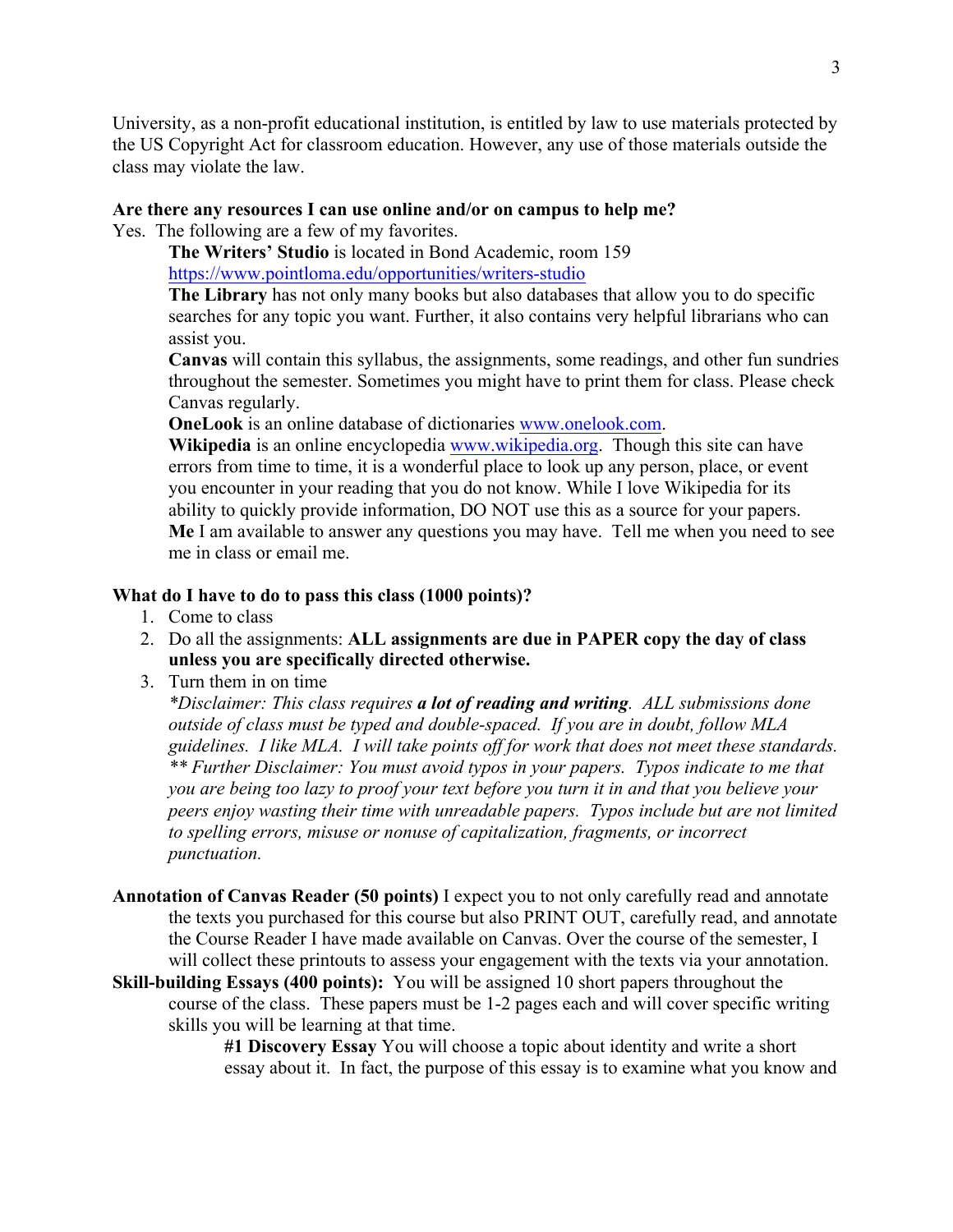University, as a non-profit educational institution, is entitled by law to use materials protected by the US Copyright Act for classroom education. However, any use of those materials outside the class may violate the law.

#### **Are there any resources I can use online and/or on campus to help me?**

Yes. The following are a few of my favorites.

**The Writers' Studio** is located in Bond Academic, room 159 https://www.pointloma.edu/opportunities/writers-studio

**The Library** has not only many books but also databases that allow you to do specific searches for any topic you want. Further, it also contains very helpful librarians who can assist you.

**Canvas** will contain this syllabus, the assignments, some readings, and other fun sundries throughout the semester. Sometimes you might have to print them for class. Please check Canvas regularly.

**OneLook** is an online database of dictionaries www.onelook.com.

**Wikipedia** is an online encyclopedia www.wikipedia.org. Though this site can have errors from time to time, it is a wonderful place to look up any person, place, or event you encounter in your reading that you do not know. While I love Wikipedia for its ability to quickly provide information, DO NOT use this as a source for your papers. **Me** I am available to answer any questions you may have. Tell me when you need to see me in class or email me.

#### **What do I have to do to pass this class (1000 points)?**

- 1. Come to class
- 2. Do all the assignments: **ALL assignments are due in PAPER copy the day of class unless you are specifically directed otherwise.**
- 3. Turn them in on time

*\*Disclaimer: This class requires a lot of reading and writing. ALL submissions done outside of class must be typed and double-spaced. If you are in doubt, follow MLA guidelines. I like MLA. I will take points off for work that does not meet these standards. \*\* Further Disclaimer: You must avoid typos in your papers. Typos indicate to me that you are being too lazy to proof your text before you turn it in and that you believe your peers enjoy wasting their time with unreadable papers. Typos include but are not limited to spelling errors, misuse or nonuse of capitalization, fragments, or incorrect punctuation.* 

- **Annotation of Canvas Reader (50 points)** I expect you to not only carefully read and annotate the texts you purchased for this course but also PRINT OUT, carefully read, and annotate the Course Reader I have made available on Canvas. Over the course of the semester, I will collect these printouts to assess your engagement with the texts via your annotation.
- **Skill-building Essays (400 points):** You will be assigned 10 short papers throughout the course of the class. These papers must be 1-2 pages each and will cover specific writing skills you will be learning at that time.

**#1 Discovery Essay** You will choose a topic about identity and write a short essay about it. In fact, the purpose of this essay is to examine what you know and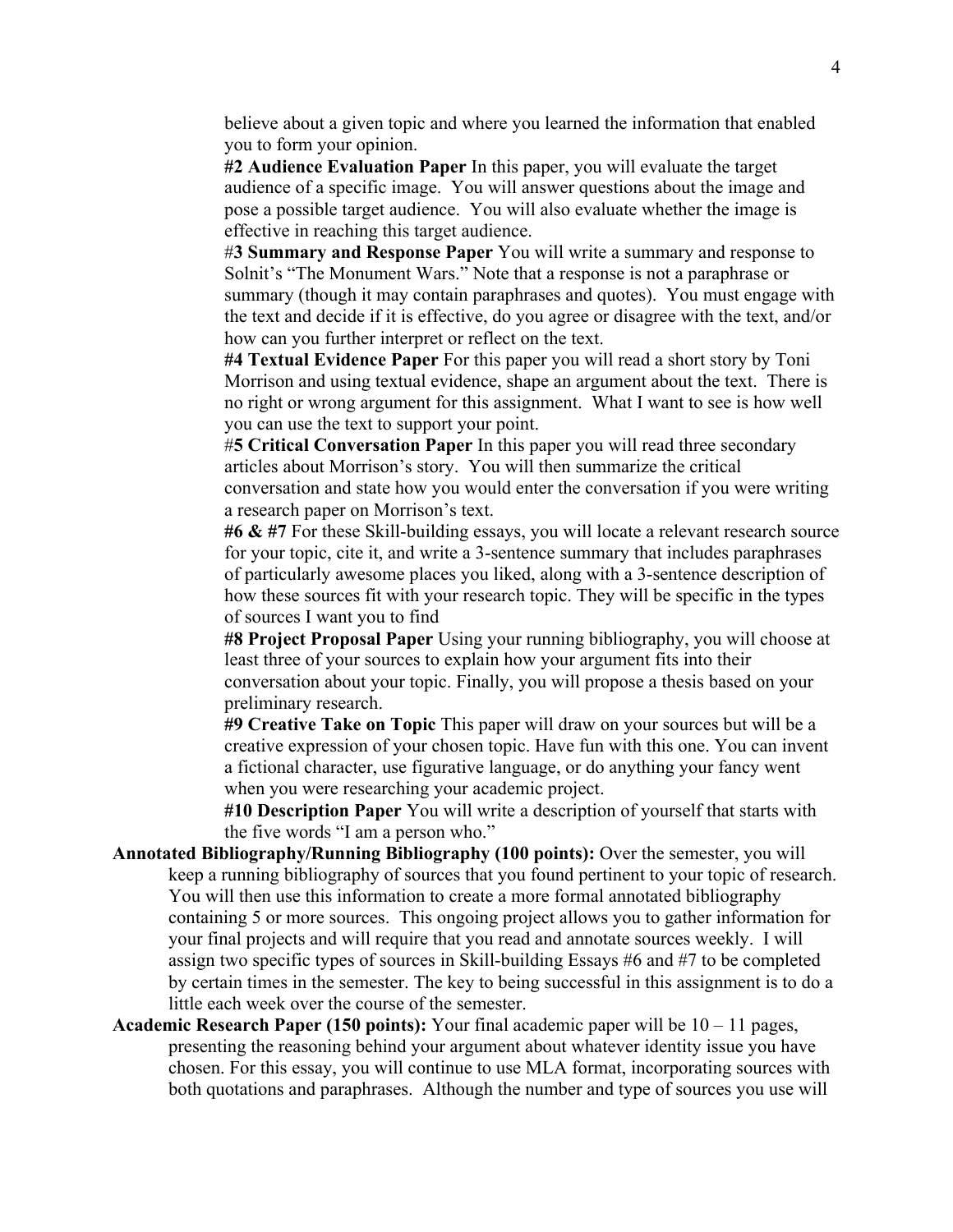believe about a given topic and where you learned the information that enabled you to form your opinion.

**#2 Audience Evaluation Paper** In this paper, you will evaluate the target audience of a specific image. You will answer questions about the image and pose a possible target audience. You will also evaluate whether the image is effective in reaching this target audience.

#**3 Summary and Response Paper** You will write a summary and response to Solnit's "The Monument Wars." Note that a response is not a paraphrase or summary (though it may contain paraphrases and quotes). You must engage with the text and decide if it is effective, do you agree or disagree with the text, and/or how can you further interpret or reflect on the text.

**#4 Textual Evidence Paper** For this paper you will read a short story by Toni Morrison and using textual evidence, shape an argument about the text. There is no right or wrong argument for this assignment. What I want to see is how well you can use the text to support your point.

#**5 Critical Conversation Paper** In this paper you will read three secondary articles about Morrison's story. You will then summarize the critical conversation and state how you would enter the conversation if you were writing a research paper on Morrison's text.

**#6 & #7** For these Skill-building essays, you will locate a relevant research source for your topic, cite it, and write a 3-sentence summary that includes paraphrases of particularly awesome places you liked, along with a 3-sentence description of how these sources fit with your research topic. They will be specific in the types of sources I want you to find

**#8 Project Proposal Paper** Using your running bibliography, you will choose at least three of your sources to explain how your argument fits into their conversation about your topic. Finally, you will propose a thesis based on your preliminary research.

**#9 Creative Take on Topic** This paper will draw on your sources but will be a creative expression of your chosen topic. Have fun with this one. You can invent a fictional character, use figurative language, or do anything your fancy went when you were researching your academic project.

**#10 Description Paper** You will write a description of yourself that starts with the five words "I am a person who."

- **Annotated Bibliography/Running Bibliography (100 points):** Over the semester, you will keep a running bibliography of sources that you found pertinent to your topic of research. You will then use this information to create a more formal annotated bibliography containing 5 or more sources. This ongoing project allows you to gather information for your final projects and will require that you read and annotate sources weekly. I will assign two specific types of sources in Skill-building Essays #6 and #7 to be completed by certain times in the semester. The key to being successful in this assignment is to do a little each week over the course of the semester.
- **Academic Research Paper (150 points):** Your final academic paper will be 10 11 pages, presenting the reasoning behind your argument about whatever identity issue you have chosen. For this essay, you will continue to use MLA format, incorporating sources with both quotations and paraphrases. Although the number and type of sources you use will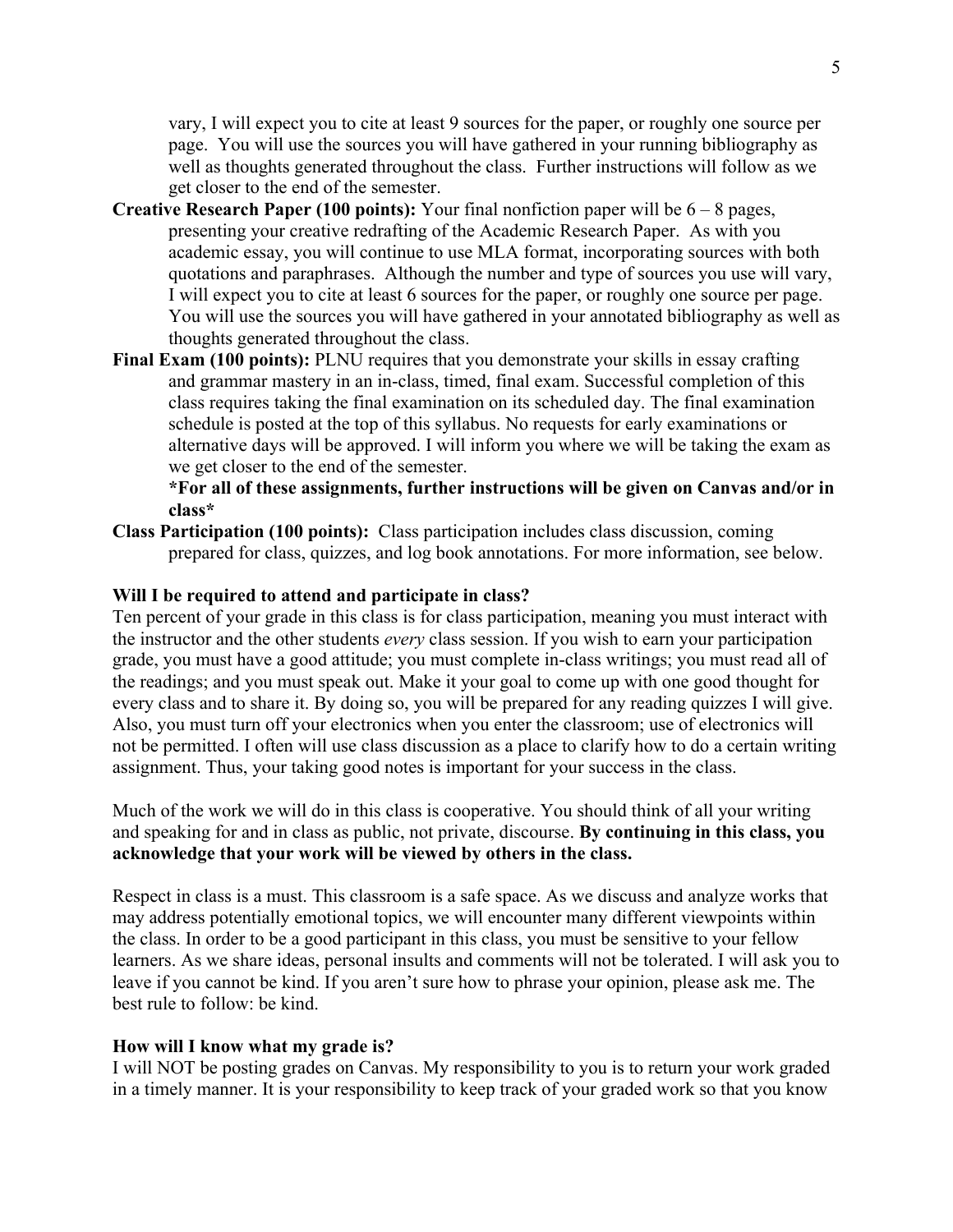vary, I will expect you to cite at least 9 sources for the paper, or roughly one source per page. You will use the sources you will have gathered in your running bibliography as well as thoughts generated throughout the class. Further instructions will follow as we get closer to the end of the semester.

- **Creative Research Paper (100 points):** Your final nonfiction paper will be 6 8 pages, presenting your creative redrafting of the Academic Research Paper. As with you academic essay, you will continue to use MLA format, incorporating sources with both quotations and paraphrases. Although the number and type of sources you use will vary, I will expect you to cite at least 6 sources for the paper, or roughly one source per page. You will use the sources you will have gathered in your annotated bibliography as well as thoughts generated throughout the class.
- **Final Exam (100 points):** PLNU requires that you demonstrate your skills in essay crafting and grammar mastery in an in-class, timed, final exam. Successful completion of this class requires taking the final examination on its scheduled day. The final examination schedule is posted at the top of this syllabus. No requests for early examinations or alternative days will be approved. I will inform you where we will be taking the exam as we get closer to the end of the semester.

## **\*For all of these assignments, further instructions will be given on Canvas and/or in class\***

**Class Participation (100 points):** Class participation includes class discussion, coming prepared for class, quizzes, and log book annotations. For more information, see below.

#### **Will I be required to attend and participate in class?**

Ten percent of your grade in this class is for class participation, meaning you must interact with the instructor and the other students *every* class session. If you wish to earn your participation grade, you must have a good attitude; you must complete in-class writings; you must read all of the readings; and you must speak out. Make it your goal to come up with one good thought for every class and to share it. By doing so, you will be prepared for any reading quizzes I will give. Also, you must turn off your electronics when you enter the classroom; use of electronics will not be permitted. I often will use class discussion as a place to clarify how to do a certain writing assignment. Thus, your taking good notes is important for your success in the class.

Much of the work we will do in this class is cooperative. You should think of all your writing and speaking for and in class as public, not private, discourse. **By continuing in this class, you acknowledge that your work will be viewed by others in the class.**

Respect in class is a must. This classroom is a safe space. As we discuss and analyze works that may address potentially emotional topics, we will encounter many different viewpoints within the class. In order to be a good participant in this class, you must be sensitive to your fellow learners. As we share ideas, personal insults and comments will not be tolerated. I will ask you to leave if you cannot be kind. If you aren't sure how to phrase your opinion, please ask me. The best rule to follow: be kind.

#### **How will I know what my grade is?**

I will NOT be posting grades on Canvas. My responsibility to you is to return your work graded in a timely manner. It is your responsibility to keep track of your graded work so that you know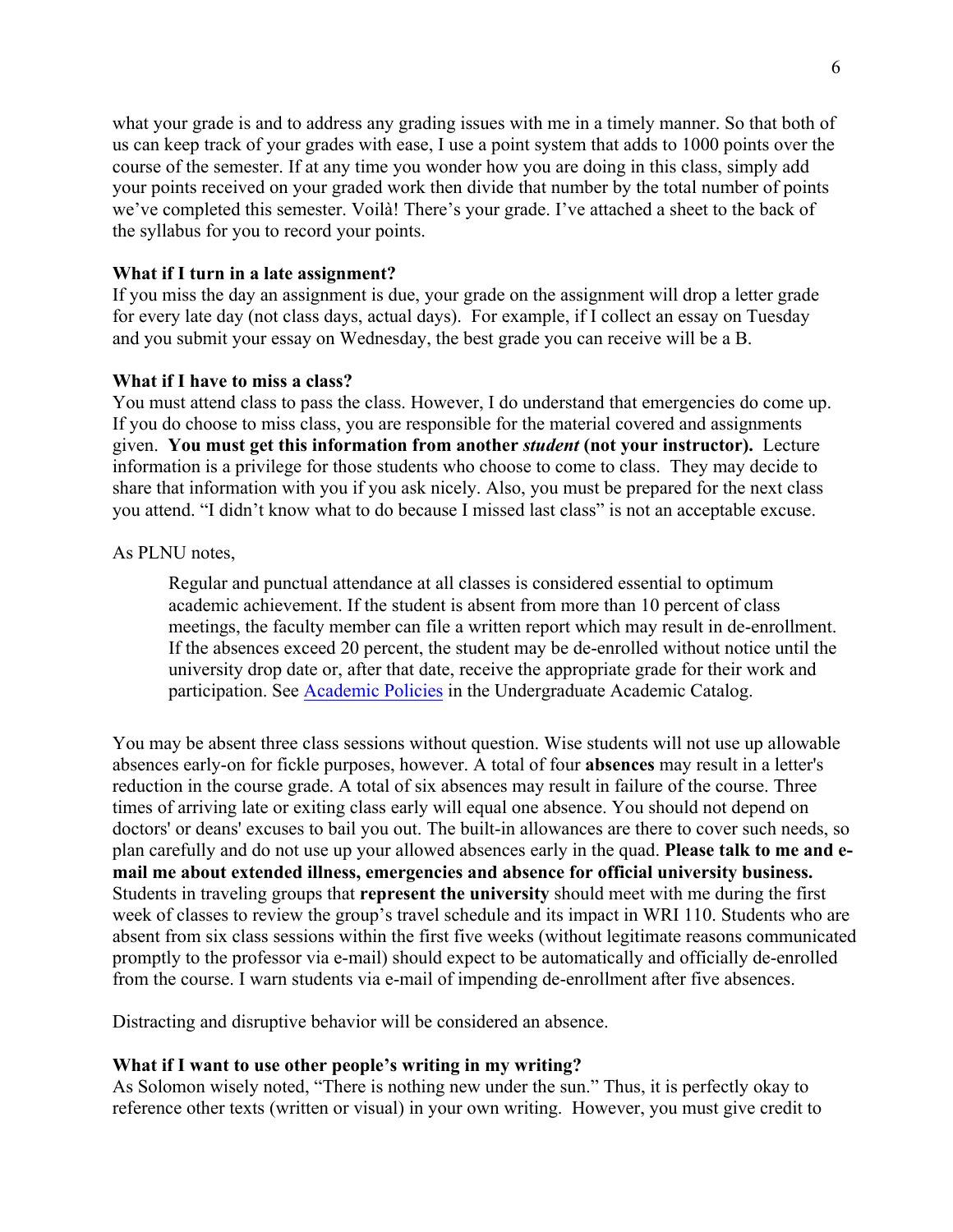what your grade is and to address any grading issues with me in a timely manner. So that both of us can keep track of your grades with ease, I use a point system that adds to 1000 points over the course of the semester. If at any time you wonder how you are doing in this class, simply add your points received on your graded work then divide that number by the total number of points we've completed this semester. Voilà! There's your grade. I've attached a sheet to the back of the syllabus for you to record your points.

#### **What if I turn in a late assignment?**

If you miss the day an assignment is due, your grade on the assignment will drop a letter grade for every late day (not class days, actual days). For example, if I collect an essay on Tuesday and you submit your essay on Wednesday, the best grade you can receive will be a B.

#### **What if I have to miss a class?**

You must attend class to pass the class. However, I do understand that emergencies do come up. If you do choose to miss class, you are responsible for the material covered and assignments given. **You must get this information from another** *student* **(not your instructor).** Lecture information is a privilege for those students who choose to come to class. They may decide to share that information with you if you ask nicely. Also, you must be prepared for the next class you attend. "I didn't know what to do because I missed last class" is not an acceptable excuse.

#### As PLNU notes,

Regular and punctual attendance at all classes is considered essential to optimum academic achievement. If the student is absent from more than 10 percent of class meetings, the faculty member can file a written report which may result in de-enrollment. If the absences exceed 20 percent, the student may be de-enrolled without notice until the university drop date or, after that date, receive the appropriate grade for their work and participation. See Academic Policies in the Undergraduate Academic Catalog.

You may be absent three class sessions without question. Wise students will not use up allowable absences early-on for fickle purposes, however. A total of four **absences** may result in a letter's reduction in the course grade. A total of six absences may result in failure of the course. Three times of arriving late or exiting class early will equal one absence. You should not depend on doctors' or deans' excuses to bail you out. The built-in allowances are there to cover such needs, so plan carefully and do not use up your allowed absences early in the quad. **Please talk to me and email me about extended illness, emergencies and absence for official university business.** Students in traveling groups that **represent the university** should meet with me during the first week of classes to review the group's travel schedule and its impact in WRI 110. Students who are absent from six class sessions within the first five weeks (without legitimate reasons communicated promptly to the professor via e-mail) should expect to be automatically and officially de-enrolled from the course. I warn students via e-mail of impending de-enrollment after five absences.

Distracting and disruptive behavior will be considered an absence.

#### **What if I want to use other people's writing in my writing?**

As Solomon wisely noted, "There is nothing new under the sun." Thus, it is perfectly okay to reference other texts (written or visual) in your own writing. However, you must give credit to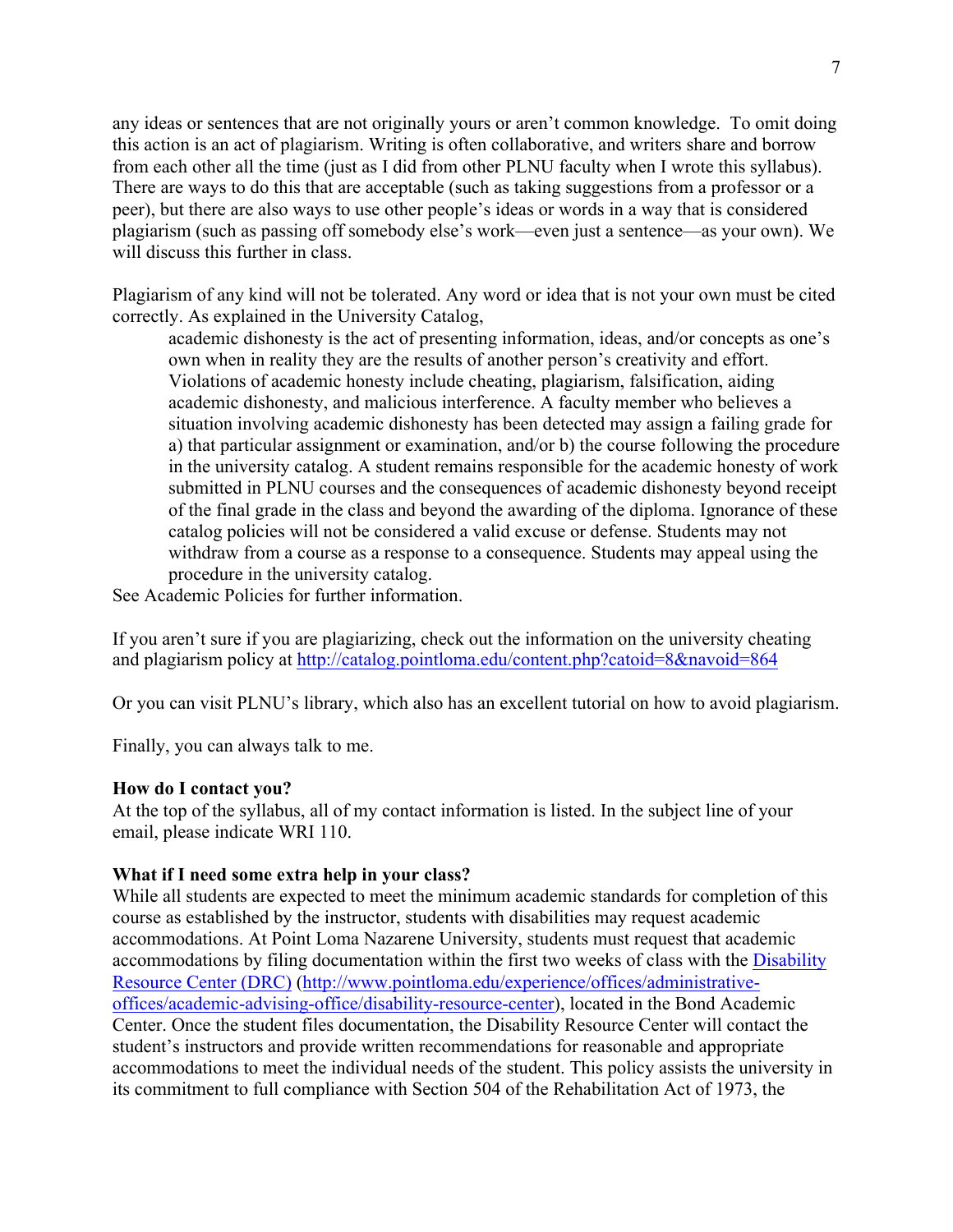any ideas or sentences that are not originally yours or aren't common knowledge. To omit doing this action is an act of plagiarism. Writing is often collaborative, and writers share and borrow from each other all the time (just as I did from other PLNU faculty when I wrote this syllabus). There are ways to do this that are acceptable (such as taking suggestions from a professor or a peer), but there are also ways to use other people's ideas or words in a way that is considered plagiarism (such as passing off somebody else's work—even just a sentence—as your own). We will discuss this further in class.

Plagiarism of any kind will not be tolerated. Any word or idea that is not your own must be cited correctly. As explained in the University Catalog,

academic dishonesty is the act of presenting information, ideas, and/or concepts as one's own when in reality they are the results of another person's creativity and effort. Violations of academic honesty include cheating, plagiarism, falsification, aiding academic dishonesty, and malicious interference. A faculty member who believes a situation involving academic dishonesty has been detected may assign a failing grade for a) that particular assignment or examination, and/or b) the course following the procedure in the university catalog. A student remains responsible for the academic honesty of work submitted in PLNU courses and the consequences of academic dishonesty beyond receipt of the final grade in the class and beyond the awarding of the diploma. Ignorance of these catalog policies will not be considered a valid excuse or defense. Students may not withdraw from a course as a response to a consequence. Students may appeal using the procedure in the university catalog.

See Academic Policies for further information.

If you aren't sure if you are plagiarizing, check out the information on the university cheating and plagiarism policy at http://catalog.pointloma.edu/content.php?catoid=8&navoid=864

Or you can visit PLNU's library, which also has an excellent tutorial on how to avoid plagiarism.

Finally, you can always talk to me.

#### **How do I contact you?**

At the top of the syllabus, all of my contact information is listed. In the subject line of your email, please indicate WRI 110.

#### **What if I need some extra help in your class?**

While all students are expected to meet the minimum academic standards for completion of this course as established by the instructor, students with disabilities may request academic accommodations. At Point Loma Nazarene University, students must request that academic accommodations by filing documentation within the first two weeks of class with the Disability Resource Center (DRC) (http://www.pointloma.edu/experience/offices/administrativeoffices/academic-advising-office/disability-resource-center), located in the Bond Academic Center. Once the student files documentation, the Disability Resource Center will contact the student's instructors and provide written recommendations for reasonable and appropriate accommodations to meet the individual needs of the student. This policy assists the university in its commitment to full compliance with Section 504 of the Rehabilitation Act of 1973, the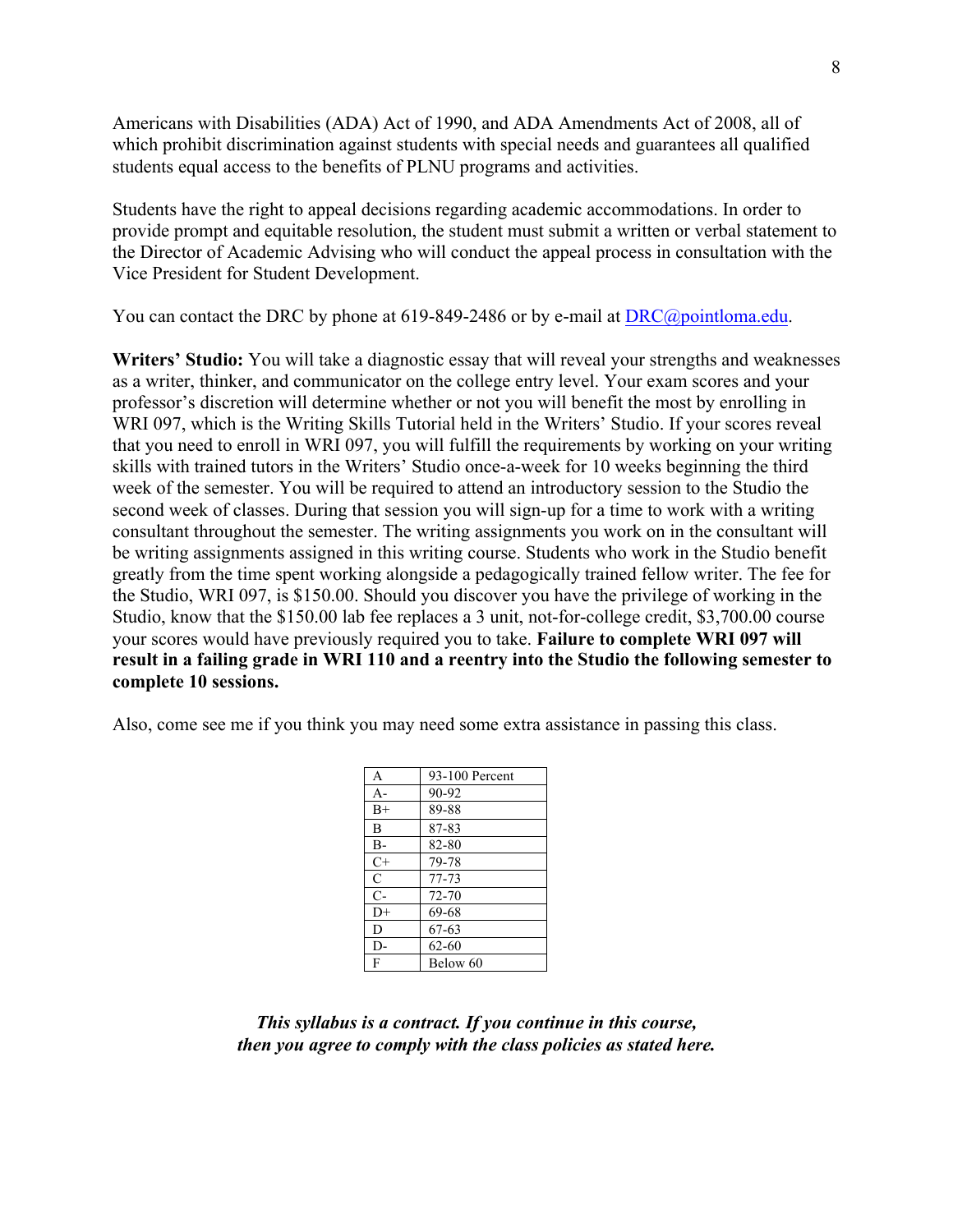Americans with Disabilities (ADA) Act of 1990, and ADA Amendments Act of 2008, all of which prohibit discrimination against students with special needs and guarantees all qualified students equal access to the benefits of PLNU programs and activities.

Students have the right to appeal decisions regarding academic accommodations. In order to provide prompt and equitable resolution, the student must submit a written or verbal statement to the Director of Academic Advising who will conduct the appeal process in consultation with the Vice President for Student Development.

You can contact the DRC by phone at 619-849-2486 or by e-mail at DRC@pointloma.edu.

**Writers' Studio:** You will take a diagnostic essay that will reveal your strengths and weaknesses as a writer, thinker, and communicator on the college entry level. Your exam scores and your professor's discretion will determine whether or not you will benefit the most by enrolling in WRI 097, which is the Writing Skills Tutorial held in the Writers' Studio. If your scores reveal that you need to enroll in WRI 097, you will fulfill the requirements by working on your writing skills with trained tutors in the Writers' Studio once-a-week for 10 weeks beginning the third week of the semester. You will be required to attend an introductory session to the Studio the second week of classes. During that session you will sign-up for a time to work with a writing consultant throughout the semester. The writing assignments you work on in the consultant will be writing assignments assigned in this writing course. Students who work in the Studio benefit greatly from the time spent working alongside a pedagogically trained fellow writer. The fee for the Studio, WRI 097, is \$150.00. Should you discover you have the privilege of working in the Studio, know that the \$150.00 lab fee replaces a 3 unit, not-for-college credit, \$3,700.00 course your scores would have previously required you to take. **Failure to complete WRI 097 will result in a failing grade in WRI 110 and a reentry into the Studio the following semester to complete 10 sessions.**

Also, come see me if you think you may need some extra assistance in passing this class.

| A     | 93-100 Percent |
|-------|----------------|
| $A -$ | 90-92          |
| $B+$  | 89-88          |
| B     | 87-83          |
| $B -$ | 82-80          |
| $C+$  | 79-78          |
| C     | 77-73          |
| $C-$  | 72-70          |
| $D+$  | 69-68          |
| D     | 67-63          |
| D-    | $62 - 60$      |
| F     | Below 60       |

*This syllabus is a contract. If you continue in this course, then you agree to comply with the class policies as stated here.*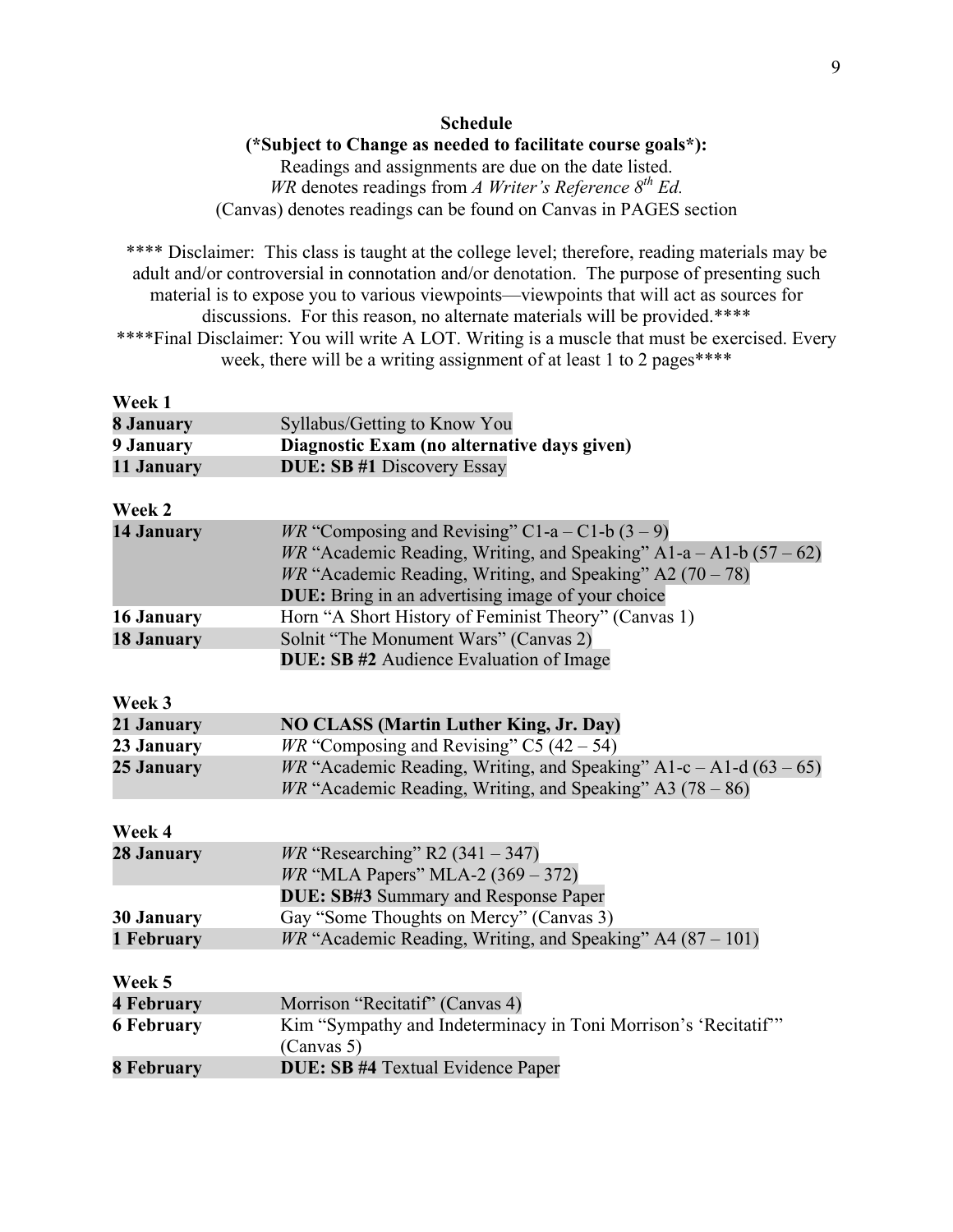## **Schedule (\*Subject to Change as needed to facilitate course goals\*):** Readings and assignments are due on the date listed.

*WR* denotes readings from *A Writer's Reference 8th Ed.* (Canvas) denotes readings can be found on Canvas in PAGES section

\*\*\*\* Disclaimer: This class is taught at the college level; therefore, reading materials may be adult and/or controversial in connotation and/or denotation. The purpose of presenting such material is to expose you to various viewpoints—viewpoints that will act as sources for discussions. For this reason, no alternate materials will be provided.\*\*\*\* \*\*\*\*Final Disclaimer: You will write A LOT. Writing is a muscle that must be exercised. Every week, there will be a writing assignment of at least 1 to 2 pages\*\*\*\*

| Week 1            |                                                                             |
|-------------------|-----------------------------------------------------------------------------|
| 8 January         | Syllabus/Getting to Know You                                                |
| 9 January         | Diagnostic Exam (no alternative days given)                                 |
| 11 January        | <b>DUE: SB #1 Discovery Essay</b>                                           |
|                   |                                                                             |
| Week 2            |                                                                             |
| <b>14 January</b> | <i>WR</i> "Composing and Revising" C1-a – C1-b $(3 – 9)$                    |
|                   | <i>WR</i> "Academic Reading, Writing, and Speaking" $AI-a - A1-b (57 - 62)$ |
|                   | $WR$ "Academic Reading, Writing, and Speaking" A2 (70 – 78)                 |
|                   | <b>DUE:</b> Bring in an advertising image of your choice                    |
| 16 January        | Horn "A Short History of Feminist Theory" (Canvas 1)                        |
| <b>18 January</b> | Solnit "The Monument Wars" (Canvas 2)                                       |
|                   | <b>DUE: SB #2</b> Audience Evaluation of Image                              |
|                   |                                                                             |
| Week 3            |                                                                             |
| 21 January        | <b>NO CLASS (Martin Luther King, Jr. Day)</b>                               |
| 23 January        | $W^{\prime\prime}$ "Composing and Revising" C5 (42 – 54)                    |

| 21 January | NO CLASS (Martin Luther King, Jr. Day)                                      |
|------------|-----------------------------------------------------------------------------|
| 23 January | <i>WR</i> "Composing and Revising" C5 $(42 – 54)$                           |
| 25 January | <i>WR</i> "Academic Reading, Writing, and Speaking" A1-c – A1-d $(63 - 65)$ |
|            | <i>WR</i> "Academic Reading, Writing, and Speaking" A3 $(78 - 86)$          |
|            |                                                                             |

| Week 4            |                                                                    |
|-------------------|--------------------------------------------------------------------|
| 28 January        | <i>WR</i> "Researching" R2 $(341 – 347)$                           |
|                   | <i>WR</i> "MLA Papers" MLA-2 $(369 - 372)$                         |
|                   | <b>DUE: SB#3 Summary and Response Paper</b>                        |
| <b>30 January</b> | Gay "Some Thoughts on Mercy" (Canvas 3)                            |
| 1 February        | <i>WR</i> "Academic Reading, Writing, and Speaking" $A4(87 - 101)$ |
| Week 5            |                                                                    |
| <b>4 February</b> | Morrison "Recitatif" (Canvas 4)                                    |
| <b>6 February</b> | Kim "Sympathy and Indeterminacy in Toni Morrison's 'Recitatif'"    |
|                   | (Canvas 5)                                                         |
| <b>8 February</b> | <b>DUE: SB #4 Textual Evidence Paper</b>                           |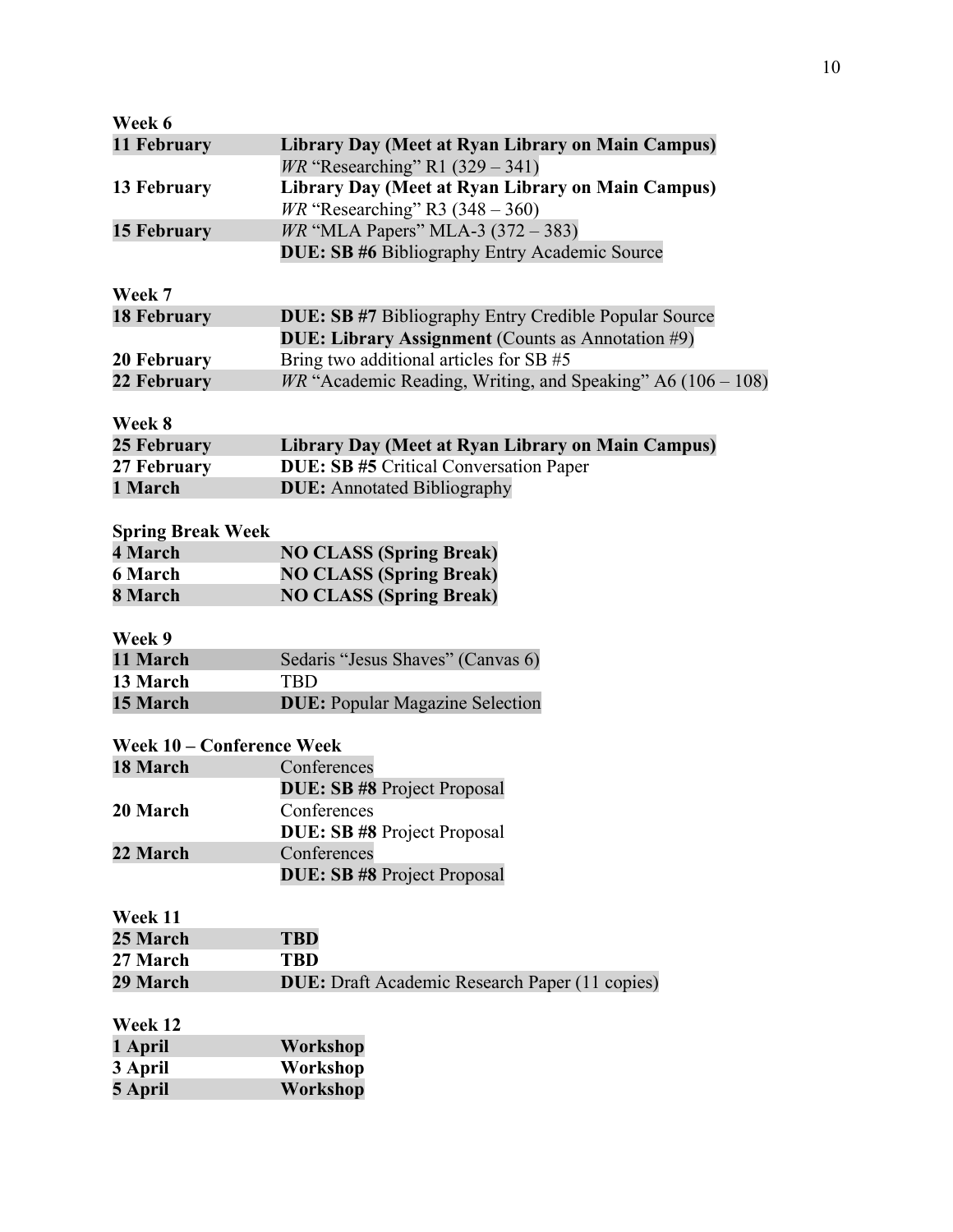| Week 6                    |                                                               |
|---------------------------|---------------------------------------------------------------|
| 11 February               | <b>Library Day (Meet at Ryan Library on Main Campus)</b>      |
|                           | <i>WR</i> "Researching" R1 $(329 - 341)$                      |
| 13 February               | Library Day (Meet at Ryan Library on Main Campus)             |
|                           | $WR$ "Researching" R3 (348 – 360)                             |
| <b>15 February</b>        | <i>WR</i> "MLA Papers" MLA-3 $(372 - 383)$                    |
|                           | <b>DUE: SB #6 Bibliography Entry Academic Source</b>          |
|                           |                                                               |
| Week 7                    |                                                               |
| <b>18 February</b>        | DUE: SB #7 Bibliography Entry Credible Popular Source         |
|                           | DUE: Library Assignment (Counts as Annotation #9)             |
| 20 February               | Bring two additional articles for SB #5                       |
| 22 February               | $WR$ "Academic Reading, Writing, and Speaking" A6 (106 – 108) |
|                           |                                                               |
| Week 8                    |                                                               |
| 25 February               | Library Day (Meet at Ryan Library on Main Campus)             |
| 27 February               | <b>DUE: SB #5 Critical Conversation Paper</b>                 |
| 1 March                   | <b>DUE:</b> Annotated Bibliography                            |
|                           |                                                               |
| <b>Spring Break Week</b>  |                                                               |
| 4 March                   | <b>NO CLASS (Spring Break)</b>                                |
| <b>6 March</b>            | <b>NO CLASS (Spring Break)</b>                                |
| 8 March                   | <b>NO CLASS (Spring Break)</b>                                |
|                           |                                                               |
| Week 9<br>11 March        |                                                               |
| 13 March                  | Sedaris "Jesus Shaves" (Canvas 6)<br><b>TBD</b>               |
| 15 March                  | <b>DUE: Popular Magazine Selection</b>                        |
|                           |                                                               |
| Week 10 – Conference Week |                                                               |
| 18 March                  | Conferences                                                   |
|                           | <b>DUE: SB #8 Project Proposal</b>                            |
| 20 March                  | Conferences                                                   |
|                           | <b>DUE: SB #8 Project Proposal</b>                            |
| 22 March                  | Conferences                                                   |
|                           | <b>DUE: SB #8 Project Proposal</b>                            |
|                           |                                                               |
| Week 11                   |                                                               |
| 25 March                  | <b>TBD</b>                                                    |
| 27 March                  | <b>TBD</b>                                                    |
| 29 March                  | <b>DUE:</b> Draft Academic Research Paper (11 copies)         |
|                           |                                                               |
| Week 12                   |                                                               |
| 1 April                   | Workshop                                                      |
| 3 April                   | Workshop                                                      |
| 5 April                   | Workshop                                                      |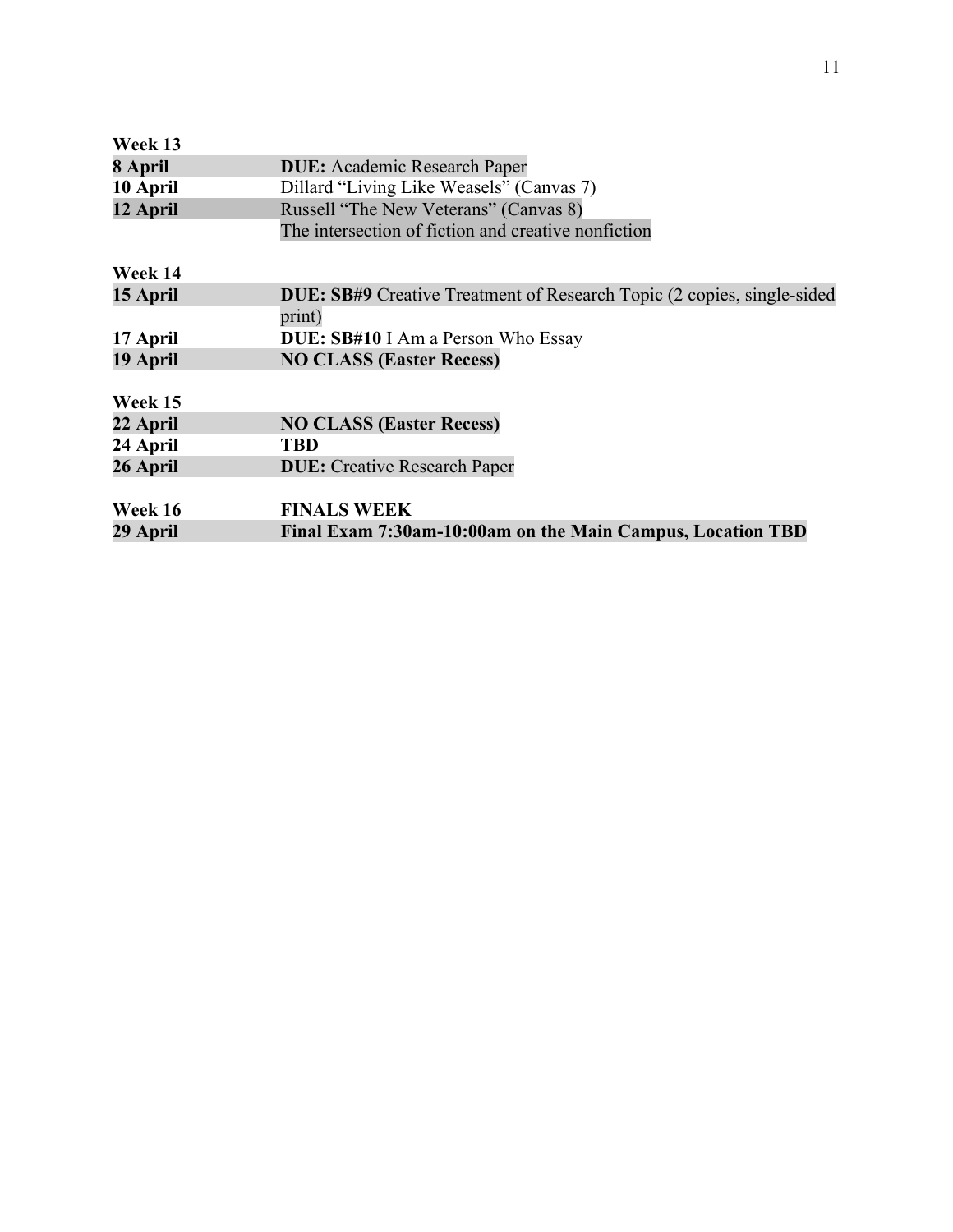| Week 13  |                                                                               |
|----------|-------------------------------------------------------------------------------|
| 8 April  | <b>DUE:</b> Academic Research Paper                                           |
| 10 April | Dillard "Living Like Weasels" (Canvas 7)                                      |
| 12 April | Russell "The New Veterans" (Canvas 8)                                         |
|          | The intersection of fiction and creative nonfiction                           |
| Week 14  |                                                                               |
| 15 April | <b>DUE: SB#9</b> Creative Treatment of Research Topic (2 copies, single-sided |
|          | print)                                                                        |
| 17 April | <b>DUE: SB#10</b> I Am a Person Who Essay                                     |
| 19 April | <b>NO CLASS (Easter Recess)</b>                                               |
| Week 15  |                                                                               |
| 22 April | <b>NO CLASS (Easter Recess)</b>                                               |
| 24 April | TBD                                                                           |
| 26 April | <b>DUE:</b> Creative Research Paper                                           |
| Week 16  | <b>FINALS WEEK</b>                                                            |
| 29 April | Final Exam 7:30am-10:00am on the Main Campus, Location TBD                    |